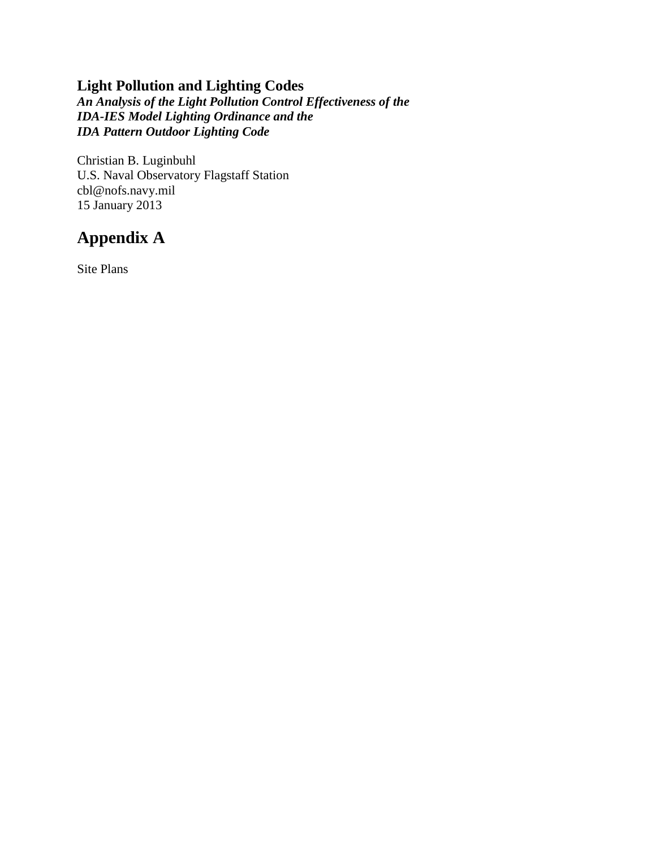## **Light Pollution and Lighting Codes**

*An Analysis of the Light Pollution Control Effectiveness of the IDA-IES Model Lighting Ordinance and the IDA Pattern Outdoor Lighting Code*

Christian B. Luginbuhl U.S. Naval Observatory Flagstaff Station cbl@nofs.navy.mil 15 January 2013

## **Appendix A**

Site Plans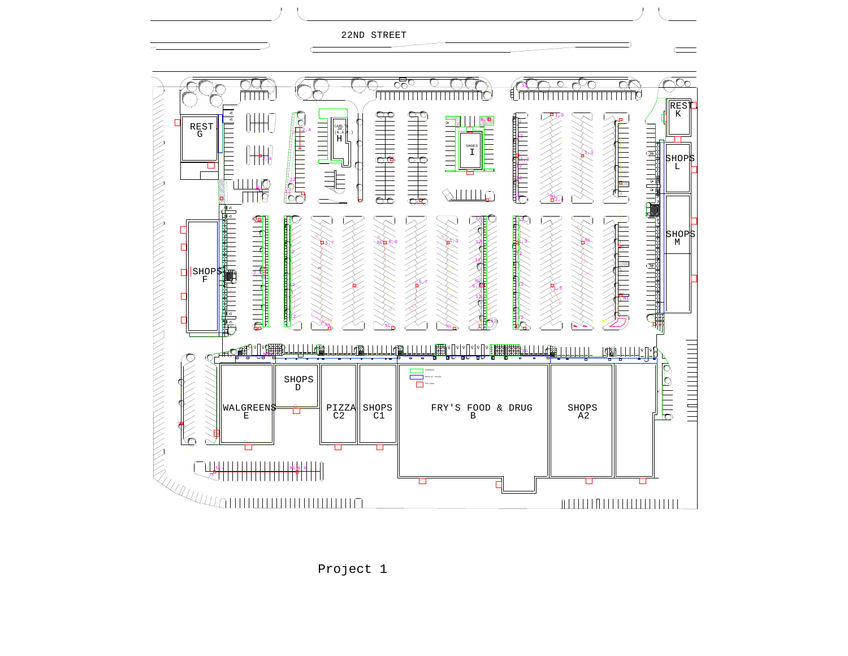



Project 1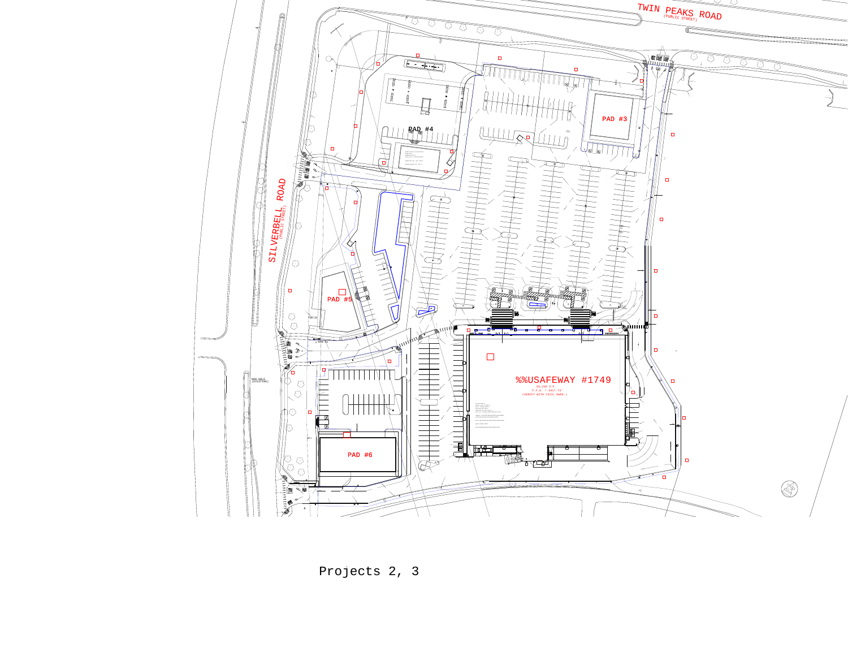

Projects 2, 3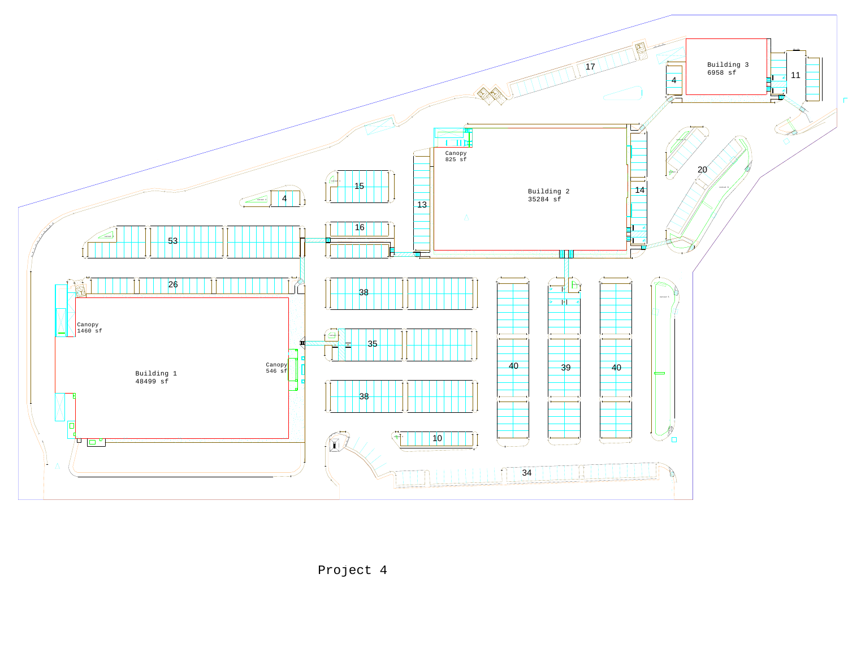

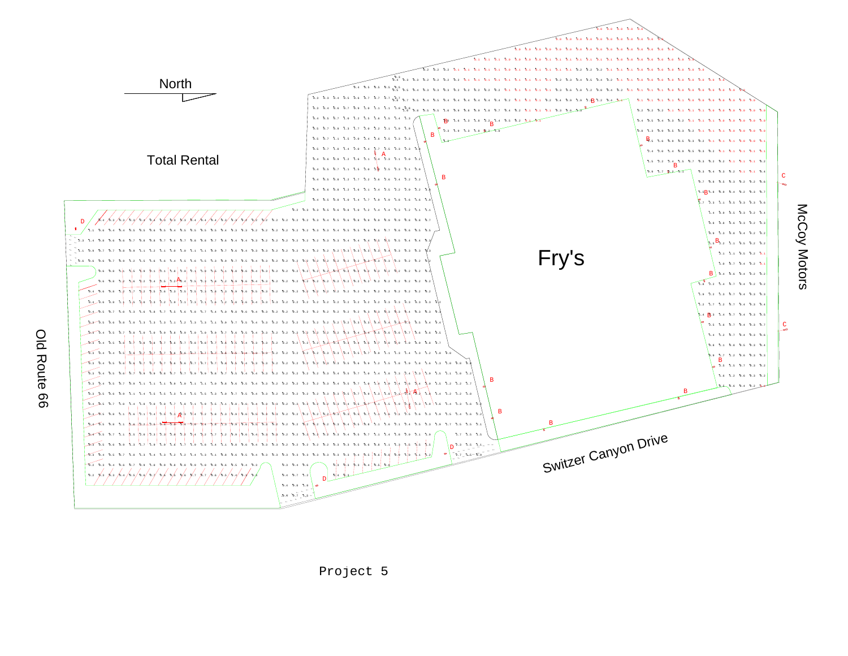



O l d **Route** ဓ္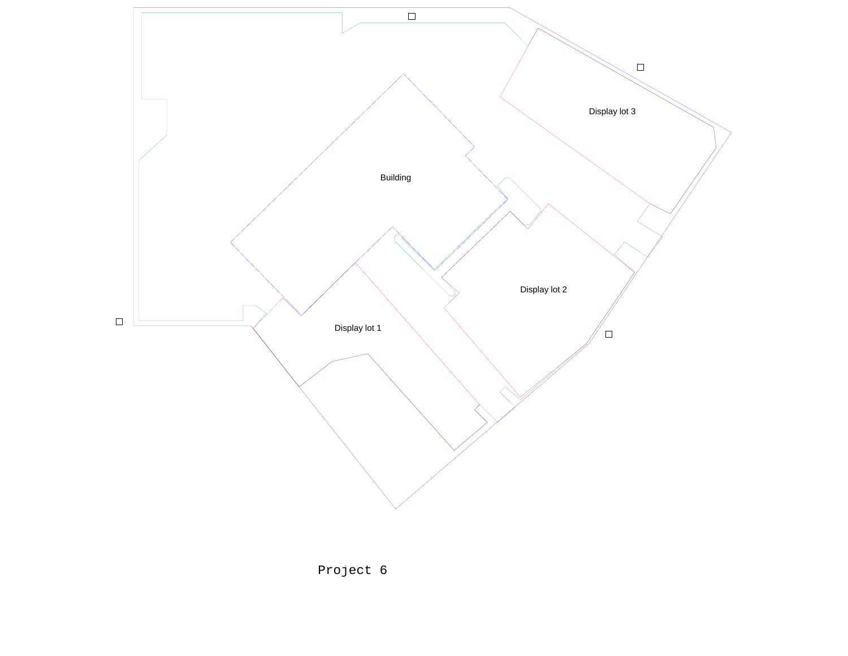

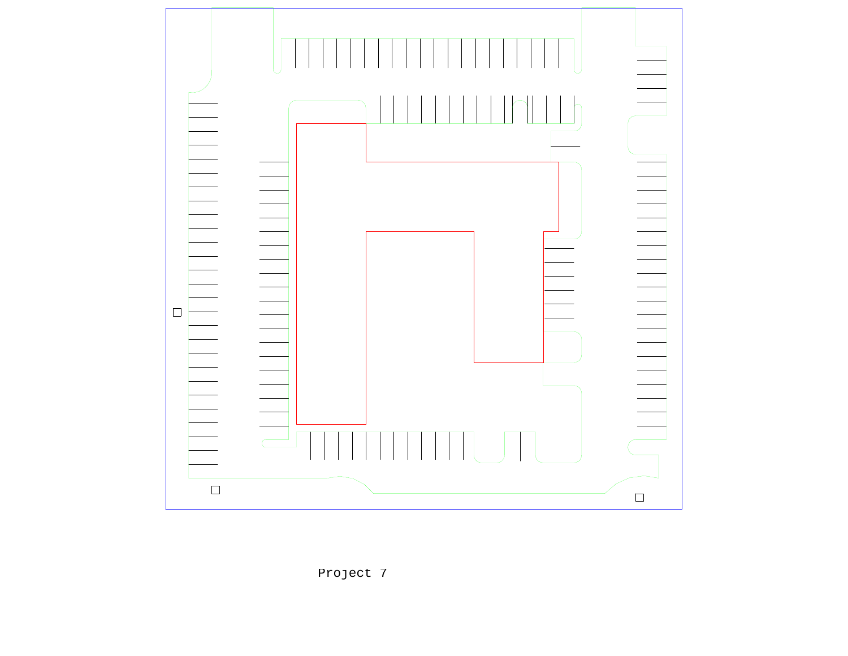

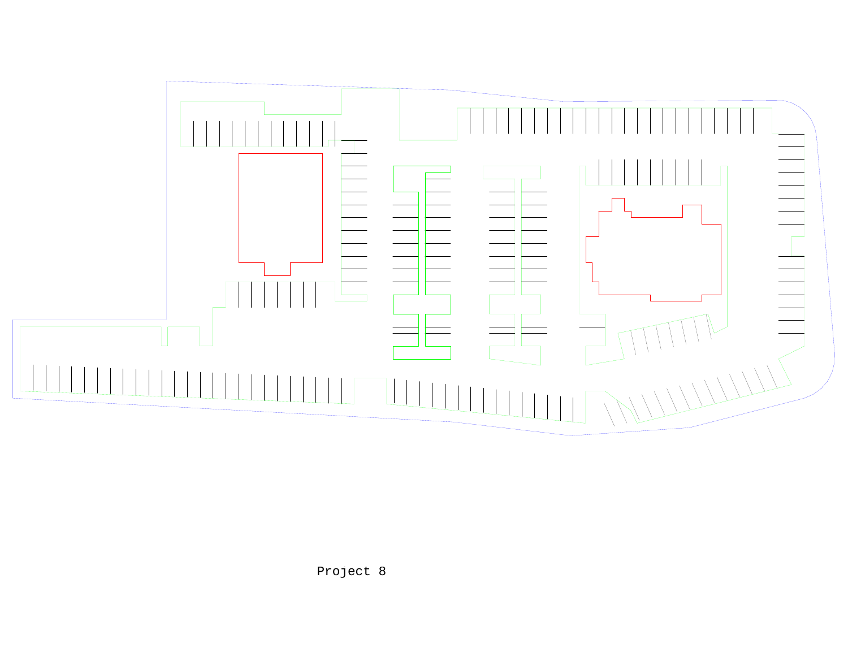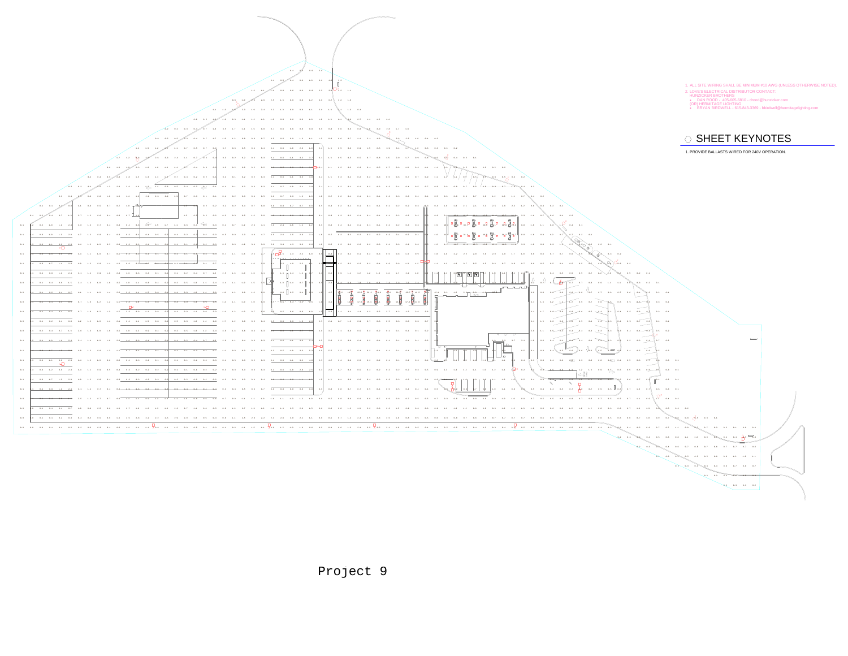

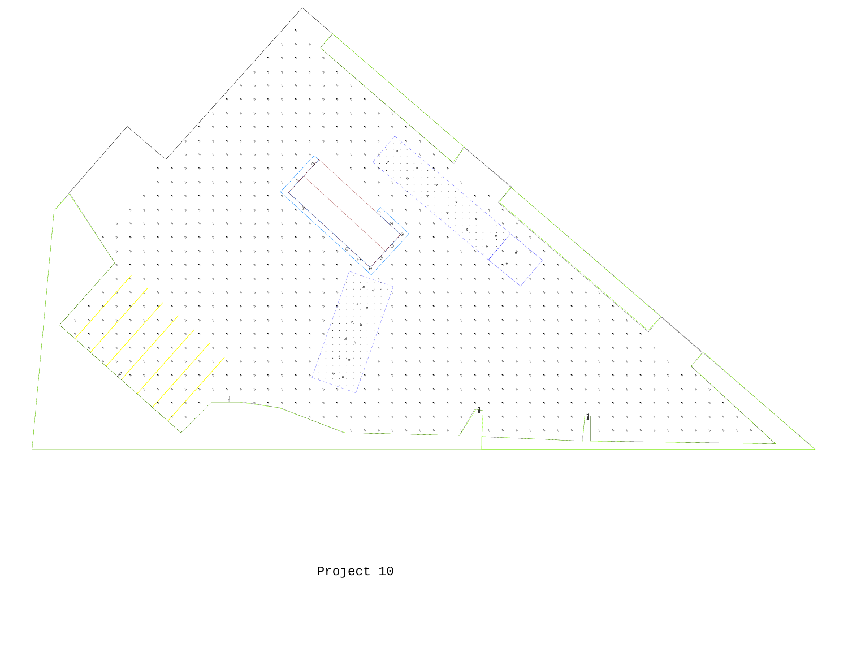

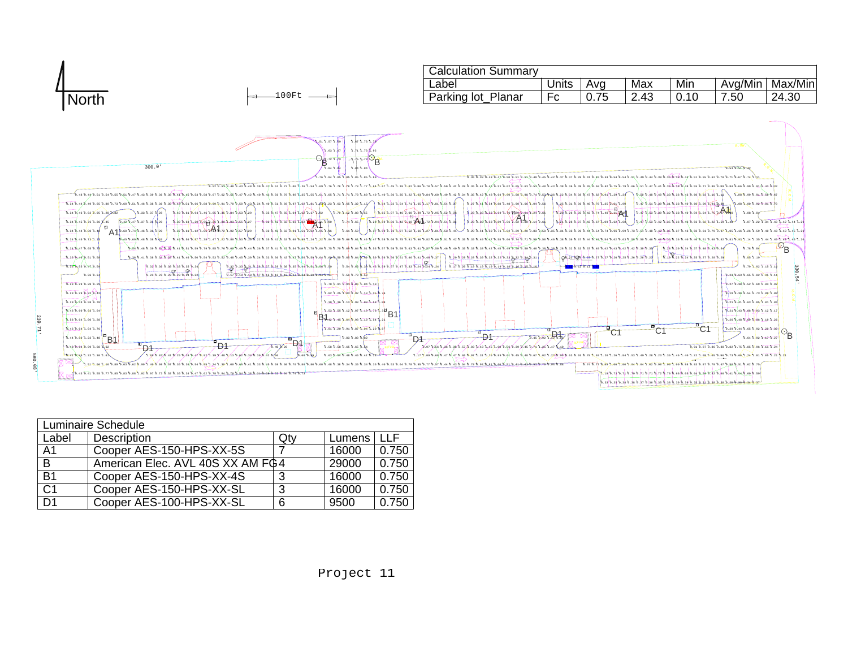

| Luminaire Schedule |                                  |     |        |       |
|--------------------|----------------------------------|-----|--------|-------|
| Label              | Description                      | Qtv | Lumens | TT E  |
| A1                 | Cooper AES-150-HPS-XX-5S         |     | 16000  | 0.750 |
| B                  | American Elec. AVL 40S XX AM FG4 |     | 29000  | 0.750 |
| <b>B1</b>          | Cooper AES-150-HPS-XX-4S         | 3   | 16000  | 0.750 |
| $\overline{C1}$    | Cooper AES-150-HPS-XX-SL         | 3   | 16000  | 0.750 |
| D <sub>1</sub>     | Cooper AES-100-HPS-XX-SL         | 6   | 9500   | 0.750 |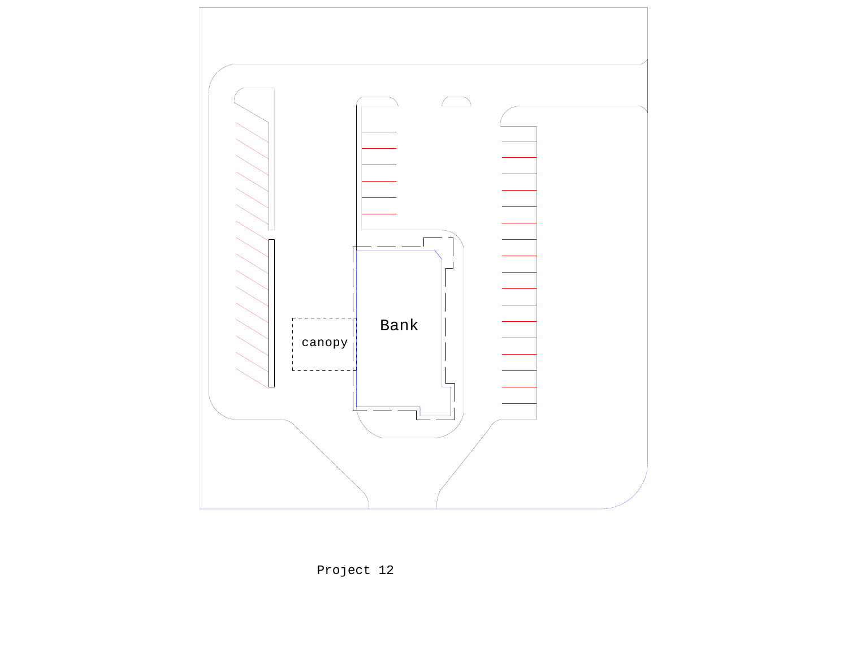

Project 12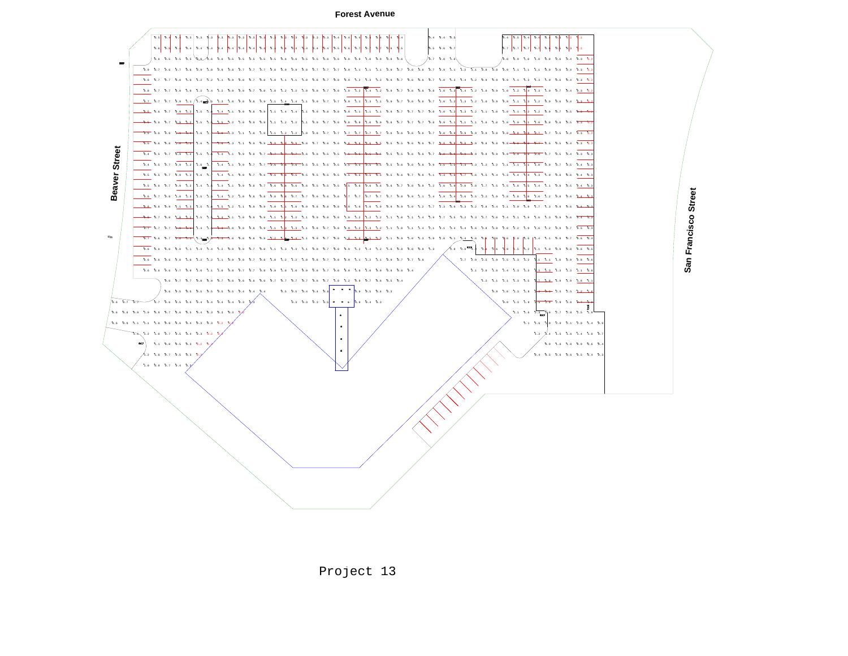**Forest Avenue**



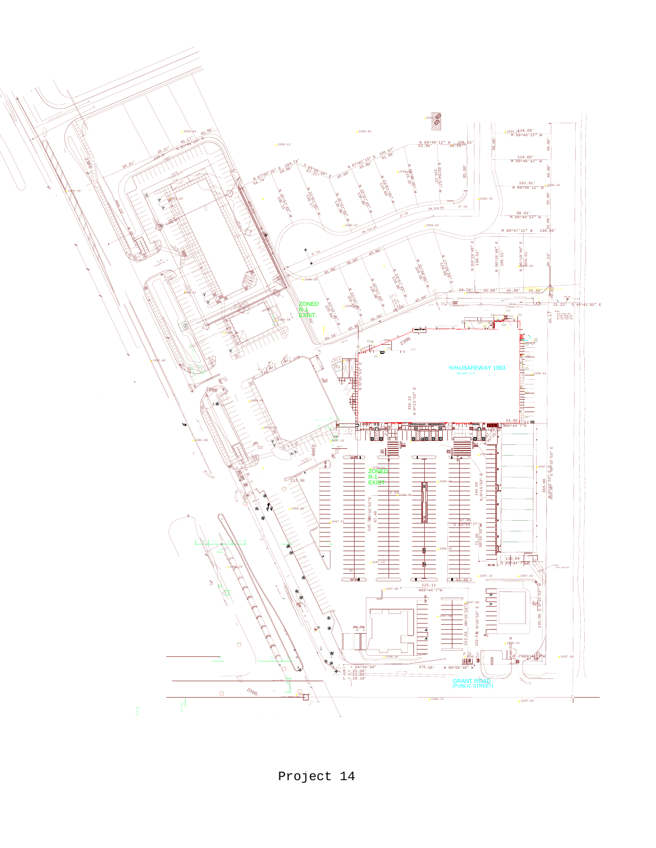